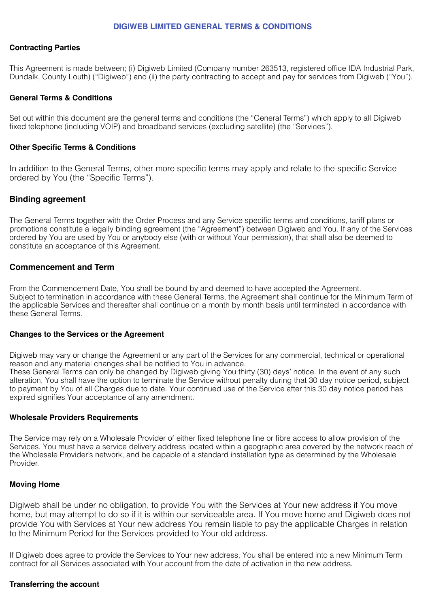#### **DIGIWEB LIMITED GENERAL TERMS & CONDITIONS**

#### **Contracting Parties**

This Agreement is made between; (i) Digiweb Limited (Company number 263513, registered office IDA Industrial Park, Dundalk, County Louth) ("Digiweb") and (ii) the party contracting to accept and pay for services from Digiweb ("You").

#### **General Terms & Conditions**

Set out within this document are the general terms and conditions (the "General Terms") which apply to all Digiweb fixed telephone (including VOIP) and broadband services (excluding satellite) (the "Services").

#### **Other Specific Terms & Conditions**

In addition to the General Terms, other more specific terms may apply and relate to the specific Service ordered by You (the "Specific Terms").

#### **Binding agreement**

The General Terms together with the Order Process and any Service specific terms and conditions, tariff plans or promotions constitute a legally binding agreement (the "Agreement") between Digiweb and You. If any of the Services ordered by You are used by You or anybody else (with or without Your permission), that shall also be deemed to constitute an acceptance of this Agreement.

#### **Commencement and Term**

From the Commencement Date, You shall be bound by and deemed to have accepted the Agreement. Subject to termination in accordance with these General Terms, the Agreement shall continue for the Minimum Term of the applicable Services and thereafter shall continue on a month by month basis until terminated in accordance with these General Terms.

#### **Changes to the Services or the Agreement**

Digiweb may vary or change the Agreement or any part of the Services for any commercial, technical or operational reason and any material changes shall be notified to You in advance.

These General Terms can only be changed by Digiweb giving You thirty (30) days' notice. In the event of any such alteration, You shall have the option to terminate the Service without penalty during that 30 day notice period, subject to payment by You of all Charges due to date. Your continued use of the Service after this 30 day notice period has expired signifies Your acceptance of any amendment.

#### **Wholesale Providers Requirements**

The Service may rely on a Wholesale Provider of either fixed telephone line or fibre access to allow provision of the Services. You must have a service delivery address located within a geographic area covered by the network reach of the Wholesale Provider's network, and be capable of a standard installation type as determined by the Wholesale Provider.

#### **Moving Home**

Digiweb shall be under no obligation, to provide You with the Services at Your new address if You move home, but may attempt to do so if it is within our serviceable area. If You move home and Digiweb does not provide You with Services at Your new address You remain liable to pay the applicable Charges in relation to the Minimum Period for the Services provided to Your old address.

If Digiweb does agree to provide the Services to Your new address, You shall be entered into a new Minimum Term contract for all Services associated with Your account from the date of activation in the new address.

#### **Transferring the account**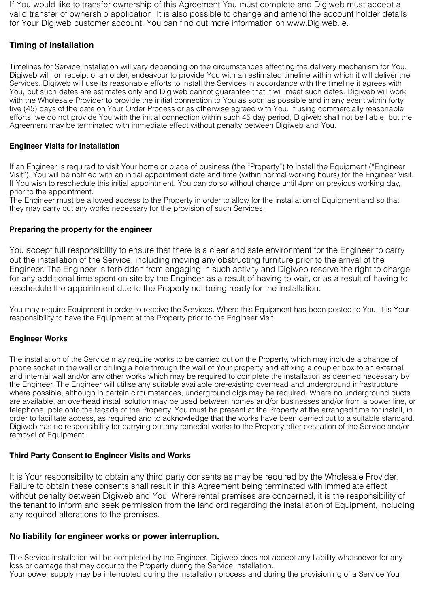If You would like to transfer ownership of this Agreement You must complete and Digiweb must accept a valid transfer of ownership application. It is also possible to change and amend the account holder details for Your Digiweb customer account. You can find out more information on www.Digiweb.ie.

# **Timing of Installation**

Timelines for Service installation will vary depending on the circumstances affecting the delivery mechanism for You. Digiweb will, on receipt of an order, endeavour to provide You with an estimated timeline within which it will deliver the Services. Digiweb will use its reasonable efforts to install the Services in accordance with the timeline it agrees with You, but such dates are estimates only and Digiweb cannot guarantee that it will meet such dates. Digiweb will work with the Wholesale Provider to provide the initial connection to You as soon as possible and in any event within forty five (45) days of the date on Your Order Process or as otherwise agreed with You. If using commercially reasonable efforts, we do not provide You with the initial connection within such 45 day period, Digiweb shall not be liable, but the Agreement may be terminated with immediate effect without penalty between Digiweb and You.

## **Engineer Visits for Installation**

If an Engineer is required to visit Your home or place of business (the "Property") to install the Equipment ("Engineer Visit"), You will be notified with an initial appointment date and time (within normal working hours) for the Engineer Visit. If You wish to reschedule this initial appointment, You can do so without charge until 4pm on previous working day, prior to the appointment.

The Engineer must be allowed access to the Property in order to allow for the installation of Equipment and so that they may carry out any works necessary for the provision of such Services.

## **Preparing the property for the engineer**

You accept full responsibility to ensure that there is a clear and safe environment for the Engineer to carry out the installation of the Service, including moving any obstructing furniture prior to the arrival of the Engineer. The Engineer is forbidden from engaging in such activity and Digiweb reserve the right to charge for any additional time spent on site by the Engineer as a result of having to wait, or as a result of having to reschedule the appointment due to the Property not being ready for the installation.

You may require Equipment in order to receive the Services. Where this Equipment has been posted to You, it is Your responsibility to have the Equipment at the Property prior to the Engineer Visit.

## **Engineer Works**

The installation of the Service may require works to be carried out on the Property, which may include a change of phone socket in the wall or drilling a hole through the wall of Your property and affixing a coupler box to an external and internal wall and/or any other works which may be required to complete the installation as deemed necessary by the Engineer. The Engineer will utilise any suitable available pre-existing overhead and underground infrastructure where possible, although in certain circumstances, underground digs may be required. Where no underground ducts are available, an overhead install solution may be used between homes and/or businesses and/or from a power line, or telephone, pole onto the façade of the Property. You must be present at the Property at the arranged time for install, in order to facilitate access, as required and to acknowledge that the works have been carried out to a suitable standard. Digiweb has no responsibility for carrying out any remedial works to the Property after cessation of the Service and/or removal of Equipment.

## **Third Party Consent to Engineer Visits and Works**

It is Your responsibility to obtain any third party consents as may be required by the Wholesale Provider. Failure to obtain these consents shall result in this Agreement being terminated with immediate effect without penalty between Digiweb and You. Where rental premises are concerned, it is the responsibility of the tenant to inform and seek permission from the landlord regarding the installation of Equipment, including any required alterations to the premises.

# **No liability for engineer works or power interruption.**

The Service installation will be completed by the Engineer. Digiweb does not accept any liability whatsoever for any loss or damage that may occur to the Property during the Service Installation. Your power supply may be interrupted during the installation process and during the provisioning of a Service You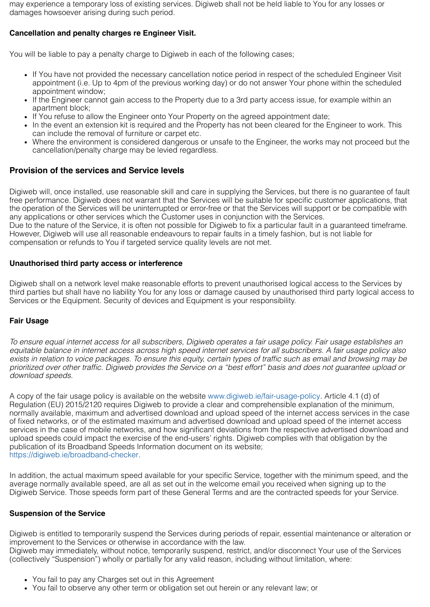may experience a temporary loss of existing services. Digiweb shall not be held liable to You for any losses or damages howsoever arising during such period.

## **Cancellation and penalty charges re Engineer Visit.**

You will be liable to pay a penalty charge to Digiweb in each of the following cases;

- If You have not provided the necessary cancellation notice period in respect of the scheduled Engineer Visit appointment (i.e. Up to 4pm of the previous working day) or do not answer Your phone within the scheduled appointment window;
- If the Engineer cannot gain access to the Property due to a 3rd party access issue, for example within an apartment block;
- If You refuse to allow the Engineer onto Your Property on the agreed appointment date;
- In the event an extension kit is required and the Property has not been cleared for the Engineer to work. This can include the removal of furniture or carpet etc.
- Where the environment is considered dangerous or unsafe to the Engineer, the works may not proceed but the cancellation/penalty charge may be levied regardless.

## **Provision of the services and Service levels**

Digiweb will, once installed, use reasonable skill and care in supplying the Services, but there is no guarantee of fault free performance. Digiweb does not warrant that the Services will be suitable for specific customer applications, that the operation of the Services will be uninterrupted or error-free or that the Services will support or be compatible with any applications or other services which the Customer uses in conjunction with the Services.

Due to the nature of the Service, it is often not possible for Digiweb to fix a particular fault in a guaranteed timeframe. However, Digiweb will use all reasonable endeavours to repair faults in a timely fashion, but is not liable for compensation or refunds to You if targeted service quality levels are not met.

### **Unauthorised third party access or interference**

Digiweb shall on a network level make reasonable efforts to prevent unauthorised logical access to the Services by third parties but shall have no liability You for any loss or damage caused by unauthorised third party logical access to Services or the Equipment. Security of devices and Equipment is your responsibility.

## **Fair Usage**

To ensure equal internet access for all subscribers, Digiweb operates a fair usage policy. Fair usage establishes an equitable balance in internet access across high speed internet services for all subscribers. A fair usage policy also exists in relation to voice packages. To ensure this equity, certain types of traffic such as email and browsing may be *prioritized over other traffic. Digiweb provides the Service on a "best effort" basis and does not guarantee upload or download speeds.*

A copy of the fair usage policy is available on the website [www.digiweb.ie/fair-usage-policy](https://digiweb.ie/fair-usage-policy/). Article 4.1 (d) of Regulation (EU) 2015/2120 requires Digiweb to provide a clear and comprehensible explanation of the minimum, normally available, maximum and advertised download and upload speed of the internet access services in the case of fixed networks, or of the estimated maximum and advertised download and upload speed of the internet access services in the case of mobile networks, and how significant deviations from the respective advertised download and upload speeds could impact the exercise of the end-users' rights. Digiweb complies with that obligation by the publication of its Broadband Speeds Information document on its website; <https://digiweb.ie/broadband-checker>.

In addition, the actual maximum speed available for your specific Service, together with the minimum speed, and the average normally available speed, are all as set out in the welcome email you received when signing up to the Digiweb Service. Those speeds form part of these General Terms and are the contracted speeds for your Service.

#### **Suspension of the Service**

Digiweb is entitled to temporarily suspend the Services during periods of repair, essential maintenance or alteration or improvement to the Services or otherwise in accordance with the law. Digiweb may immediately, without notice, temporarily suspend, restrict, and/or disconnect Your use of the Services

(collectively "Suspension") wholly or partially for any valid reason, including without limitation, where:

- You fail to pay any Charges set out in this Agreement
- You fail to observe any other term or obligation set out herein or any relevant law; or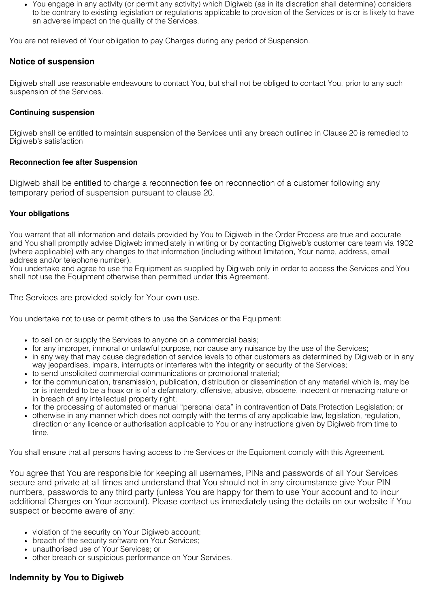You engage in any activity (or permit any activity) which Digiweb (as in its discretion shall determine) considers to be contrary to existing legislation or regulations applicable to provision of the Services or is or is likely to have an adverse impact on the quality of the Services.

You are not relieved of Your obligation to pay Charges during any period of Suspension.

# **Notice of suspension**

Digiweb shall use reasonable endeavours to contact You, but shall not be obliged to contact You, prior to any such suspension of the Services.

## **Continuing suspension**

Digiweb shall be entitled to maintain suspension of the Services until any breach outlined in Clause 20 is remedied to Digiweb's satisfaction

### **Reconnection fee after Suspension**

Digiweb shall be entitled to charge a reconnection fee on reconnection of a customer following any temporary period of suspension pursuant to clause 20.

## **Your obligations**

You warrant that all information and details provided by You to Digiweb in the Order Process are true and accurate and You shall promptly advise Digiweb immediately in writing or by contacting Digiweb's customer care team via 1902 (where applicable) with any changes to that information (including without limitation, Your name, address, email address and/or telephone number).

You undertake and agree to use the Equipment as supplied by Digiweb only in order to access the Services and You shall not use the Equipment otherwise than permitted under this Agreement.

The Services are provided solely for Your own use.

You undertake not to use or permit others to use the Services or the Equipment:

- to sell on or supply the Services to anyone on a commercial basis;
- for any improper, immoral or unlawful purpose, nor cause any nuisance by the use of the Services;
- in any way that may cause degradation of service levels to other customers as determined by Digiweb or in any way jeopardises, impairs, interrupts or interferes with the integrity or security of the Services;
- to send unsolicited commercial communications or promotional material;
- for the communication, transmission, publication, distribution or dissemination of any material which is, may be or is intended to be a hoax or is of a defamatory, offensive, abusive, obscene, indecent or menacing nature or in breach of any intellectual property right;
- for the processing of automated or manual "personal data" in contravention of Data Protection Legislation; or
- otherwise in any manner which does not comply with the terms of any applicable law, legislation, regulation, direction or any licence or authorisation applicable to You or any instructions given by Digiweb from time to time.

You shall ensure that all persons having access to the Services or the Equipment comply with this Agreement.

You agree that You are responsible for keeping all usernames, PINs and passwords of all Your Services secure and private at all times and understand that You should not in any circumstance give Your PIN numbers, passwords to any third party (unless You are happy for them to use Your account and to incur additional Charges on Your account). Please contact us immediately using the details on our website if You suspect or become aware of any:

- violation of the security on Your Digiweb account;
- breach of the security software on Your Services;
- unauthorised use of Your Services; or
- other breach or suspicious performance on Your Services.

# **Indemnity by You to Digiweb**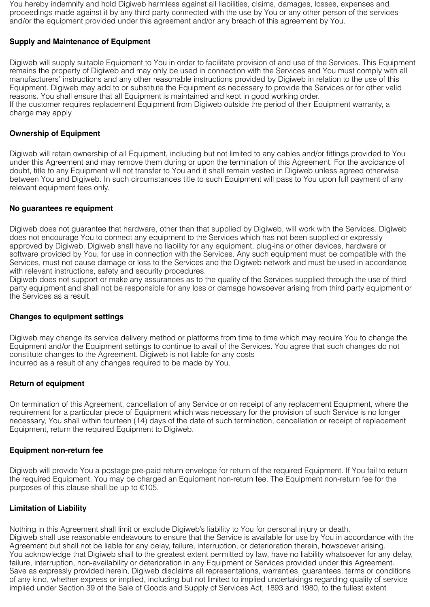You hereby indemnify and hold Digiweb harmless against all liabilities, claims, damages, losses, expenses and proceedings made against it by any third party connected with the use by You or any other person of the services and/or the equipment provided under this agreement and/or any breach of this agreement by You.

## **Supply and Maintenance of Equipment**

Digiweb will supply suitable Equipment to You in order to facilitate provision of and use of the Services. This Equipment remains the property of Digiweb and may only be used in connection with the Services and You must comply with all manufacturers' instructions and any other reasonable instructions provided by Digiweb in relation to the use of this Equipment. Digiweb may add to or substitute the Equipment as necessary to provide the Services or for other valid reasons. You shall ensure that all Equipment is maintained and kept in good working order. If the customer requires replacement Equipment from Digiweb outside the period of their Equipment warranty, a charge may apply

## **Ownership of Equipment**

Digiweb will retain ownership of all Equipment, including but not limited to any cables and/or fittings provided to You under this Agreement and may remove them during or upon the termination of this Agreement. For the avoidance of doubt, title to any Equipment will not transfer to You and it shall remain vested in Digiweb unless agreed otherwise between You and Digiweb. In such circumstances title to such Equipment will pass to You upon full payment of any relevant equipment fees only.

#### **No guarantees re equipment**

Digiweb does not guarantee that hardware, other than that supplied by Digiweb, will work with the Services. Digiweb does not encourage You to connect any equipment to the Services which has not been supplied or expressly approved by Digiweb. Digiweb shall have no liability for any equipment, plug-ins or other devices, hardware or software provided by You, for use in connection with the Services. Any such equipment must be compatible with the Services, must not cause damage or loss to the Services and the Digiweb network and must be used in accordance with relevant instructions, safety and security procedures.

Digiweb does not support or make any assurances as to the quality of the Services supplied through the use of third party equipment and shall not be responsible for any loss or damage howsoever arising from third party equipment or the Services as a result.

#### **Changes to equipment settings**

Digiweb may change its service delivery method or platforms from time to time which may require You to change the Equipment and/or the Equipment settings to continue to avail of the Services. You agree that such changes do not constitute changes to the Agreement. Digiweb is not liable for any costs incurred as a result of any changes required to be made by You.

#### **Return of equipment**

On termination of this Agreement, cancellation of any Service or on receipt of any replacement Equipment, where the requirement for a particular piece of Equipment which was necessary for the provision of such Service is no longer necessary, You shall within fourteen (14) days of the date of such termination, cancellation or receipt of replacement Equipment, return the required Equipment to Digiweb.

#### **Equipment non-return fee**

Digiweb will provide You a postage pre-paid return envelope for return of the required Equipment. If You fail to return the required Equipment, You may be charged an Equipment non-return fee. The Equipment non-return fee for the purposes of this clause shall be up to €105.

## **Limitation of Liability**

Nothing in this Agreement shall limit or exclude Digiweb's liability to You for personal injury or death. Digiweb shall use reasonable endeavours to ensure that the Service is available for use by You in accordance with the Agreement but shall not be liable for any delay, failure, interruption, or deterioration therein, howsoever arising. You acknowledge that Digiweb shall to the greatest extent permitted by law, have no liability whatsoever for any delay, failure, interruption, non-availability or deterioration in any Equipment or Services provided under this Agreement. Save as expressly provided herein, Digiweb disclaims all representations, warranties, guarantees, terms or conditions of any kind, whether express or implied, including but not limited to implied undertakings regarding quality of service implied under Section 39 of the Sale of Goods and Supply of Services Act, 1893 and 1980, to the fullest extent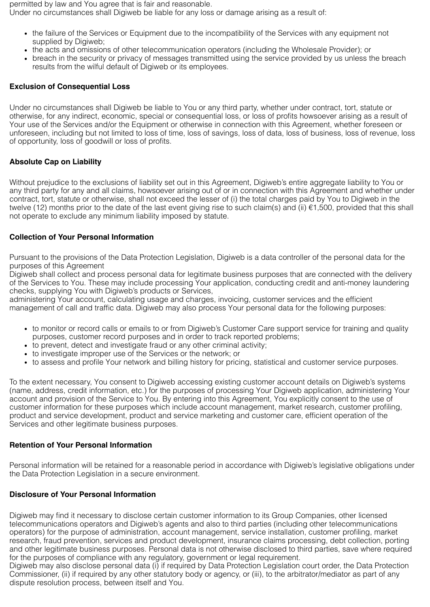permitted by law and You agree that is fair and reasonable. Under no circumstances shall Digiweb be liable for any loss or damage arising as a result of:

- the failure of the Services or Equipment due to the incompatibility of the Services with any equipment not supplied by Digiweb;
- the acts and omissions of other telecommunication operators (including the Wholesale Provider); or
- breach in the security or privacy of messages transmitted using the service provided by us unless the breach results from the wilful default of Digiweb or its employees.

## **Exclusion of Consequential Loss**

Under no circumstances shall Digiweb be liable to You or any third party, whether under contract, tort, statute or otherwise, for any indirect, economic, special or consequential loss, or loss of profits howsoever arising as a result of Your use of the Services and/or the Equipment or otherwise in connection with this Agreement, whether foreseen or unforeseen, including but not limited to loss of time, loss of savings, loss of data, loss of business, loss of revenue, loss of opportunity, loss of goodwill or loss of profits.

## **Absolute Cap on Liability**

Without prejudice to the exclusions of liability set out in this Agreement, Digiweb's entire aggregate liability to You or any third party for any and all claims, howsoever arising out of or in connection with this Agreement and whether under contract, tort, statute or otherwise, shall not exceed the lesser of (i) the total charges paid by You to Digiweb in the twelve (12) months prior to the date of the last event giving rise to such claim(s) and (ii) €1,500, provided that this shall not operate to exclude any minimum liability imposed by statute.

### **Collection of Your Personal Information**

Pursuant to the provisions of the Data Protection Legislation, Digiweb is a data controller of the personal data for the purposes of this Agreement

Digiweb shall collect and process personal data for legitimate business purposes that are connected with the delivery of the Services to You. These may include processing Your application, conducting credit and anti-money laundering checks, supplying You with Digiweb's products or Services,

administering Your account, calculating usage and charges, invoicing, customer services and the efficient management of call and traffic data. Digiweb may also process Your personal data for the following purposes:

- to monitor or record calls or emails to or from Digiweb's Customer Care support service for training and quality purposes, customer record purposes and in order to track reported problems;
- to prevent, detect and investigate fraud or any other criminal activity;
- to investigate improper use of the Services or the network; or
- to assess and profile Your network and billing history for pricing, statistical and customer service purposes.

To the extent necessary, You consent to Digiweb accessing existing customer account details on Digiweb's systems (name, address, credit information, etc.) for the purposes of processing Your Digiweb application, administering Your account and provision of the Service to You. By entering into this Agreement, You explicitly consent to the use of customer information for these purposes which include account management, market research, customer profiling, product and service development, product and service marketing and customer care, efficient operation of the Services and other legitimate business purposes.

#### **Retention of Your Personal Information**

Personal information will be retained for a reasonable period in accordance with Digiweb's legislative obligations under the Data Protection Legislation in a secure environment.

## **Disclosure of Your Personal Information**

Digiweb may find it necessary to disclose certain customer information to its Group Companies, other licensed telecommunications operators and Digiweb's agents and also to third parties (including other telecommunications operators) for the purpose of administration, account management, service installation, customer profiling, market research, fraud prevention, services and product development, insurance claims processing, debt collection, porting and other legitimate business purposes. Personal data is not otherwise disclosed to third parties, save where required for the purposes of compliance with any regulatory, government or legal requirement.

Digiweb may also disclose personal data (i) if required by Data Protection Legislation court order, the Data Protection Commissioner, (ii) if required by any other statutory body or agency, or (iii), to the arbitrator/mediator as part of any dispute resolution process, between itself and You.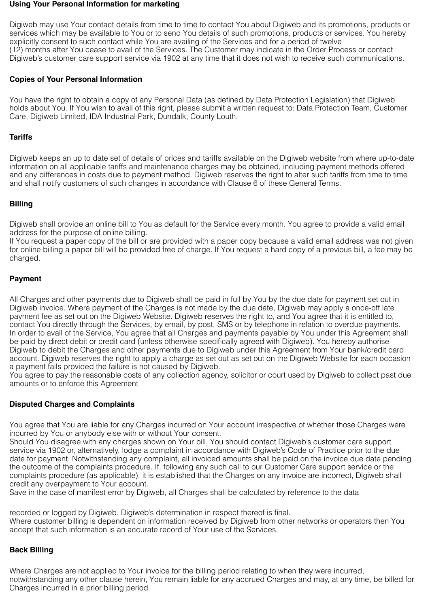#### **Using Your Personal Information for marketing**

Digiweb may use Your contact details from time to time to contact You about Digiweb and its promotions, products or services which may be available to You or to send You details of such promotions, products or services. You hereby explicitly consent to such contact while You are availing of the Services and for a period of twelve (12) months after You cease to avail of the Services. The Customer may indicate in the Order Process or contact Digiweb's customer care support service via 1902 at any time that it does not wish to receive such communications.

### **Copies of Your Personal Information**

You have the right to obtain a copy of any Personal Data (as defined by Data Protection Legislation) that Digiweb holds about You. If You wish to avail of this right, please submit a written request to: Data Protection Team, Customer Care, Digiweb Limited, IDA Industrial Park, Dundalk, County Louth.

### **Tariffs**

Digiweb keeps an up to date set of details of prices and tariffs available on the Digiweb website from where up-to-date information on all applicable tariffs and maintenance charges may be obtained, including payment methods offered and any differences in costs due to payment method. Digiweb reserves the right to alter such tariffs from time to time and shall notify customers of such changes in accordance with Clause 6 of these General Terms.

## **Billing**

Digiweb shall provide an online bill to You as default for the Service every month. You agree to provide a valid email address for the purpose of online billing.

If You request a paper copy of the bill or are provided with a paper copy because a valid email address was not given for online billing a paper bill will be provided free of charge. If You request a hard copy of a previous bill, a fee may be charged.

### **Payment**

All Charges and other payments due to Digiweb shall be paid in full by You by the due date for payment set out in Digiweb invoice. Where payment of the Charges is not made by the due date, Digiweb may apply a once-off late payment fee as set out on the Digiweb Website. Digiweb reserves the right to, and You agree that it is entitled to, contact You directly through the Services, by email, by post, SMS or by telephone in relation to overdue payments. In order to avail of the Service, You agree that all Charges and payments payable by You under this Agreement shall be paid by direct debit or credit card (unless otherwise specifically agreed with Digiweb). You hereby authorise Digiweb to debit the Charges and other payments due to Digiweb under this Agreement from Your bank/credit card account. Digiweb reserves the right to apply a charge as set out as set out on the Digiweb Website for each occasion a payment fails provided the failure is not caused by Digiweb.

You agree to pay the reasonable costs of any collection agency, solicitor or court used by Digiweb to collect past due amounts or to enforce this Agreement

## **Disputed Charges and Complaints**

You agree that You are liable for any Charges incurred on Your account irrespective of whether those Charges were incurred by You or anybody else with or without Your consent.

Should You disagree with any charges shown on Your bill, You should contact Digiweb's customer care support service via 1902 or, alternatively, lodge a complaint in accordance with Digiweb's Code of Practice prior to the due date for payment. Notwithstanding any complaint, all invoiced amounts shall be paid on the invoice due date pending the outcome of the complaints procedure. If, following any such call to our Customer Care support service or the complaints procedure (as applicable), it is established that the Charges on any invoice are incorrect, Digiweb shall credit any overpayment to Your account.

Save in the case of manifest error by Digiweb, all Charges shall be calculated by reference to the data

recorded or logged by Digiweb. Digiweb's determination in respect thereof is final. Where customer billing is dependent on information received by Digiweb from other networks or operators then You accept that such information is an accurate record of Your use of the Services.

## **Back Billing**

Where Charges are not applied to Your invoice for the billing period relating to when they were incurred, notwithstanding any other clause herein, You remain liable for any accrued Charges and may, at any time, be billed for Charges incurred in a prior billing period.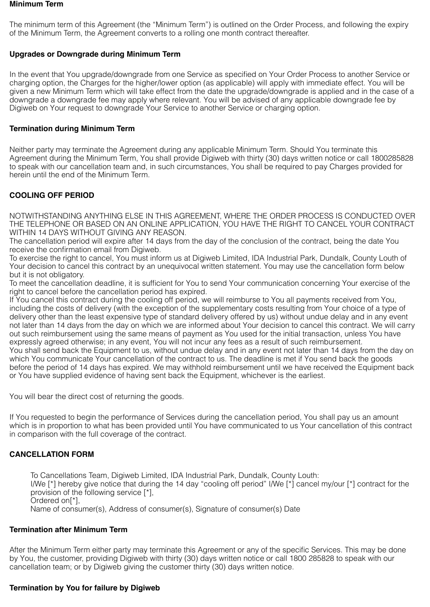#### **Minimum Term**

The minimum term of this Agreement (the "Minimum Term") is outlined on the Order Process, and following the expiry of the Minimum Term, the Agreement converts to a rolling one month contract thereafter.

## **Upgrades or Downgrade during Minimum Term**

In the event that You upgrade/downgrade from one Service as specified on Your Order Process to another Service or charging option, the Charges for the higher/lower option (as applicable) will apply with immediate effect. You will be given a new Minimum Term which will take effect from the date the upgrade/downgrade is applied and in the case of a downgrade a downgrade fee may apply where relevant. You will be advised of any applicable downgrade fee by Digiweb on Your request to downgrade Your Service to another Service or charging option.

## **Termination during Minimum Term**

Neither party may terminate the Agreement during any applicable Minimum Term. Should You terminate this Agreement during the Minimum Term, You shall provide Digiweb with thirty (30) days written notice or call 1800285828 to speak with our cancellation team and, in such circumstances, You shall be required to pay Charges provided for herein until the end of the Minimum Term.

# **COOLING OFF PERIOD**

NOTWITHSTANDING ANYTHING ELSE IN THIS AGREEMENT, WHERE THE ORDER PROCESS IS CONDUCTED OVER THE TELEPHONE OR BASED ON AN ONLINE APPLICATION, YOU HAVE THE RIGHT TO CANCEL YOUR CONTRACT WITHIN 14 DAYS WITHOUT GIVING ANY REASON.

The cancellation period will expire after 14 days from the day of the conclusion of the contract, being the date You receive the confirmation email from Digiweb.

To exercise the right to cancel, You must inform us at Digiweb Limited, IDA Industrial Park, Dundalk, County Louth of Your decision to cancel this contract by an unequivocal written statement. You may use the cancellation form below but it is not obligatory.

To meet the cancellation deadline, it is sufficient for You to send Your communication concerning Your exercise of the right to cancel before the cancellation period has expired.

If You cancel this contract during the cooling off period, we will reimburse to You all payments received from You, including the costs of delivery (with the exception of the supplementary costs resulting from Your choice of a type of delivery other than the least expensive type of standard delivery offered by us) without undue delay and in any event not later than 14 days from the day on which we are informed about Your decision to cancel this contract. We will carry out such reimbursement using the same means of payment as You used for the initial transaction, unless You have expressly agreed otherwise; in any event, You will not incur any fees as a result of such reimbursement. You shall send back the Equipment to us, without undue delay and in any event not later than 14 days from the day on which You communicate Your cancellation of the contract to us. The deadline is met if You send back the goods before the period of 14 days has expired. We may withhold reimbursement until we have received the Equipment back or You have supplied evidence of having sent back the Equipment, whichever is the earliest.

You will bear the direct cost of returning the goods.

If You requested to begin the performance of Services during the cancellation period, You shall pay us an amount which is in proportion to what has been provided until You have communicated to us Your cancellation of this contract in comparison with the full coverage of the contract.

## **CANCELLATION FORM**

To Cancellations Team, Digiweb Limited, IDA Industrial Park, Dundalk, County Louth: I/We [\*] hereby give notice that during the 14 day "cooling off period" I/We [\*] cancel my/our [\*] contract for the provision of the following service [\*], Ordered on[\*], Name of consumer(s), Address of consumer(s), Signature of consumer(s) Date

#### **Termination after Minimum Term**

After the Minimum Term either party may terminate this Agreement or any of the specific Services. This may be done by You, the customer, providing Digiweb with thirty (30) days written notice or call 1800 285828 to speak with our cancellation team; or by Digiweb giving the customer thirty (30) days written notice.

#### **Termination by You for failure by Digiweb**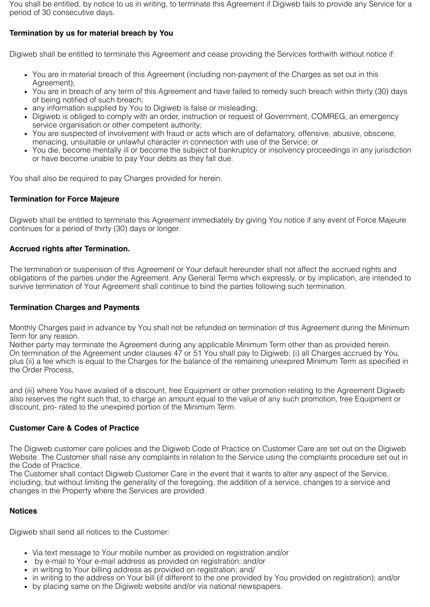You shall be entitled, by notice to us in writing, to terminate this Agreement if Digiweb fails to provide any Service for a period of 30 consecutive days.

# **Termination by us for material breach by You**

Digiweb shall be entitled to terminate this Agreement and cease providing the Services forthwith without notice if:

- You are in material breach of this Agreement (including non-payment of the Charges as set out in this Agreement);
- You are in breach of any term of this Agreement and have failed to remedy such breach within thirty (30) days of being notified of such breach;
- any information supplied by You to Digiweb is false or misleading;
- Digiweb is obliged to comply with an order, instruction or request of Government, COMREG, an emergency service organisation or other competent authority;
- You are suspected of involvement with fraud or acts which are of defamatory, offensive, abusive, obscene, menacing, unsuitable or unlawful character in connection with use of the Service; or
- You die, become mentally ill or become the subject of bankruptcy or insolvency proceedings in any jurisdiction or have become unable to pay Your debts as they fall due.

You shall also be required to pay Charges provided for herein.

### **Termination for Force Majeure**

Digiweb shall be entitled to terminate this Agreement immediately by giving You notice if any event of Force Majeure continues for a period of thirty (30) days or longer.

### **Accrued rights after Termination.**

The termination or suspension of this Agreement or Your default hereunder shall not affect the accrued rights and obligations of the parties under the Agreement. Any General Terms which expressly, or by implication, are intended to survive termination of Your Agreement shall continue to bind the parties following such termination.

#### **Termination Charges and Payments**

Monthly Charges paid in advance by You shall not be refunded on termination of this Agreement during the Minimum Term for any reason.

Neither party may terminate the Agreement during any applicable Minimum Term other than as provided herein. On termination of the Agreement under clauses 47 or 51 You shall pay to Digiweb; (i) all Charges accrued by You, plus (ii) a fee which is equal to the Charges for the balance of the remaining unexpired Minimum Term as specified in the Order Process,

and (iii) where You have availed of a discount, free Equipment or other promotion relating to the Agreement Digiweb also reserves the right such that, to charge an amount equal to the value of any such promotion, free Equipment or discount, pro- rated to the unexpired portion of the Minimum Term.

## **Customer Care & Codes of Practice**

The Digiweb customer care policies and the Digiweb Code of Practice on Customer Care are set out on the Digiweb Website. The Customer shall raise any complaints in relation to the Service using the complaints procedure set out in the Code of Practice.

The Customer shall contact Digiweb Customer Care in the event that it wants to alter any aspect of the Service, including, but without limiting the generality of the foregoing, the addition of a service, changes to a service and changes in the Property where the Services are provided.

#### **Notices**

Digiweb shall send all notices to the Customer:

- Via text message to Your mobile number as provided on registration and/or
- by e-mail to Your e-mail address as provided on registration; and/or
- in writing to Your billing address as provided on registration; and/
- in writing to the address on Your bill (if different to the one provided by You provided on registration); and/or
- by placing same on the Digiweb website and/or via national newspapers.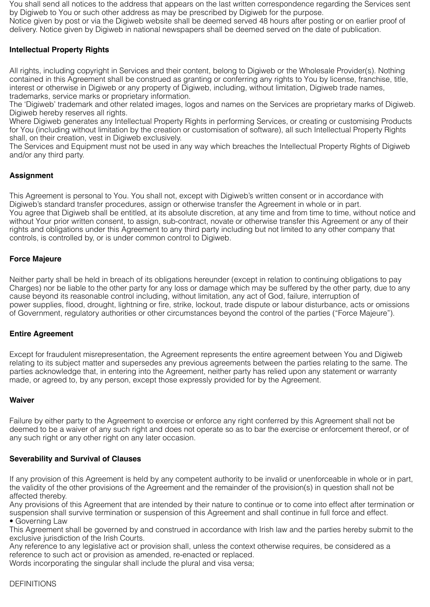You shall send all notices to the address that appears on the last written correspondence regarding the Services sent by Digiweb to You or such other address as may be prescribed by Digiweb for the purpose.

Notice given by post or via the Digiweb website shall be deemed served 48 hours after posting or on earlier proof of delivery. Notice given by Digiweb in national newspapers shall be deemed served on the date of publication.

## **Intellectual Property Rights**

All rights, including copyright in Services and their content, belong to Digiweb or the Wholesale Provider(s). Nothing contained in this Agreement shall be construed as granting or conferring any rights to You by license, franchise, title, interest or otherwise in Digiweb or any property of Digiweb, including, without limitation, Digiweb trade names, trademarks, service marks or proprietary information.

The 'Digiweb' trademark and other related images, logos and names on the Services are proprietary marks of Digiweb. Digiweb hereby reserves all rights.

Where Digiweb generates any Intellectual Property Rights in performing Services, or creating or customising Products for You (including without limitation by the creation or customisation of software), all such Intellectual Property Rights shall, on their creation, vest in Digiweb exclusively.

The Services and Equipment must not be used in any way which breaches the Intellectual Property Rights of Digiweb and/or any third party.

## **Assignment**

This Agreement is personal to You. You shall not, except with Digiweb's written consent or in accordance with Digiweb's standard transfer procedures, assign or otherwise transfer the Agreement in whole or in part. You agree that Digiweb shall be entitled, at its absolute discretion, at any time and from time to time, without notice and without Your prior written consent, to assign, sub-contract, novate or otherwise transfer this Agreement or any of their rights and obligations under this Agreement to any third party including but not limited to any other company that controls, is controlled by, or is under common control to Digiweb.

### **Force Majeure**

Neither party shall be held in breach of its obligations hereunder (except in relation to continuing obligations to pay Charges) nor be liable to the other party for any loss or damage which may be suffered by the other party, due to any cause beyond its reasonable control including, without limitation, any act of God, failure, interruption of power supplies, flood, drought, lightning or fire, strike, lockout, trade dispute or labour disturbance, acts or omissions of Government, regulatory authorities or other circumstances beyond the control of the parties ("Force Majeure").

#### **Entire Agreement**

Except for fraudulent misrepresentation, the Agreement represents the entire agreement between You and Digiweb relating to its subject matter and supersedes any previous agreements between the parties relating to the same. The parties acknowledge that, in entering into the Agreement, neither party has relied upon any statement or warranty made, or agreed to, by any person, except those expressly provided for by the Agreement.

#### **Waiver**

Failure by either party to the Agreement to exercise or enforce any right conferred by this Agreement shall not be deemed to be a waiver of any such right and does not operate so as to bar the exercise or enforcement thereof, or of any such right or any other right on any later occasion.

#### **Severability and Survival of Clauses**

If any provision of this Agreement is held by any competent authority to be invalid or unenforceable in whole or in part, the validity of the other provisions of the Agreement and the remainder of the provision(s) in question shall not be affected thereby.

Any provisions of this Agreement that are intended by their nature to continue or to come into effect after termination or suspension shall survive termination or suspension of this Agreement and shall continue in full force and effect. • Governing Law

This Agreement shall be governed by and construed in accordance with Irish law and the parties hereby submit to the exclusive jurisdiction of the Irish Courts.

Any reference to any legislative act or provision shall, unless the context otherwise requires, be considered as a reference to such act or provision as amended, re-enacted or replaced.

Words incorporating the singular shall include the plural and visa versa;